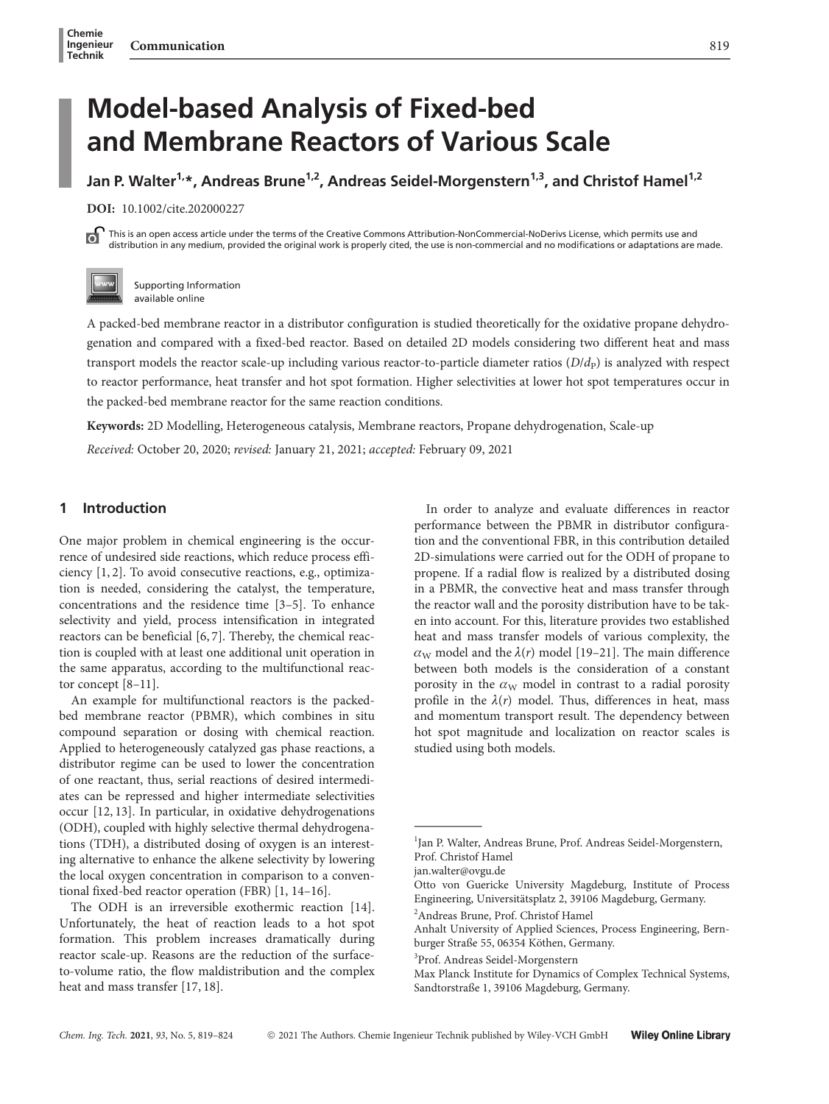# Model-based Analysis of Fixed-bed and Membrane Reactors of Various Scale

Jan P. Walter<sup>1,\*</sup>, Andreas Brune<sup>1,2</sup>, Andreas Seidel-Morgenstern<sup>1,3</sup>, and Christof Hamel<sup>1,2</sup>

DOI: 10.1002/cite.202000227

This is an open access article under the terms of the Creative Commons Attribution-NonCommercial-NoDerivs License, which permits use and ъ distribution in any medium, provided the original work is properly cited, the use is non-commercial and no modifications or adaptations are made.



Supporting Information available online

A packed-bed membrane reactor in a distributor configuration is studied theoretically for the oxidative propane dehydrogenation and compared with a fixed-bed reactor. Based on detailed 2D models considering two different heat and mass transport models the reactor scale-up including various reactor-to-particle diameter ratios  $(D/d<sub>P</sub>)$  is analyzed with respect to reactor performance, heat transfer and hot spot formation. Higher selectivities at lower hot spot temperatures occur in the packed-bed membrane reactor for the same reaction conditions.

Keywords: 2D Modelling, Heterogeneous catalysis, Membrane reactors, Propane dehydrogenation, Scale-up Received: October 20, 2020; revised: January 21, 2021; accepted: February 09, 2021

# 1 Introduction

One major problem in chemical engineering is the occurrence of undesired side reactions, which reduce process efficiency [1, 2]. To avoid consecutive reactions, e.g., optimization is needed, considering the catalyst, the temperature, concentrations and the residence time [3–5]. To enhance selectivity and yield, process intensification in integrated reactors can be beneficial [6, 7]. Thereby, the chemical reaction is coupled with at least one additional unit operation in the same apparatus, according to the multifunctional reactor concept [8–11].

An example for multifunctional reactors is the packedbed membrane reactor (PBMR), which combines in situ compound separation or dosing with chemical reaction. Applied to heterogeneously catalyzed gas phase reactions, a distributor regime can be used to lower the concentration of one reactant, thus, serial reactions of desired intermediates can be repressed and higher intermediate selectivities occur [12, 13]. In particular, in oxidative dehydrogenations (ODH), coupled with highly selective thermal dehydrogenations (TDH), a distributed dosing of oxygen is an interesting alternative to enhance the alkene selectivity by lowering the local oxygen concentration in comparison to a conventional fixed-bed reactor operation (FBR) [1, 14–16].

The ODH is an irreversible exothermic reaction [14]. Unfortunately, the heat of reaction leads to a hot spot formation. This problem increases dramatically during reactor scale-up. Reasons are the reduction of the surfaceto-volume ratio, the flow maldistribution and the complex heat and mass transfer [17, 18].

In order to analyze and evaluate differences in reactor performance between the PBMR in distributor configuration and the conventional FBR, in this contribution detailed 2D-simulations were carried out for the ODH of propane to propene. If a radial flow is realized by a distributed dosing in a PBMR, the convective heat and mass transfer through the reactor wall and the porosity distribution have to be taken into account. For this, literature provides two established heat and mass transfer models of various complexity, the  $\alpha_{\rm W}$  model and the  $\lambda(r)$  model [19–21]. The main difference between both models is the consideration of a constant porosity in the  $\alpha_W$  model in contrast to a radial porosity profile in the  $\lambda(r)$  model. Thus, differences in heat, mass and momentum transport result. The dependency between hot spot magnitude and localization on reactor scales is studied using both models. and momentu<br>hot spot mag<br>studied using<br>tudied using<br> $\frac{1}{2}$ <br> $\frac{1}{2}$ <br>Prof. Christof E<br>ian walter@ovg

2 Andreas Brune, Prof. Christof Hamel

<sup>&</sup>lt;sup>1</sup>Jan P. Walter, Andreas Brune, Prof. Andreas Seidel-Morgenstern, Prof. Christof Hamel

jan.walter@ovgu.de

Otto von Guericke University Magdeburg, Institute of Process Engineering, Universitätsplatz 2, 39106 Magdeburg, Germany.

Anhalt University of Applied Sciences, Process Engineering, Bernburger Straße 55, 06354 Köthen, Germany.

<sup>3</sup> Prof. Andreas Seidel-Morgenstern

Max Planck Institute for Dynamics of Complex Technical Systems, Sandtorstraße 1, 39106 Magdeburg, Germany.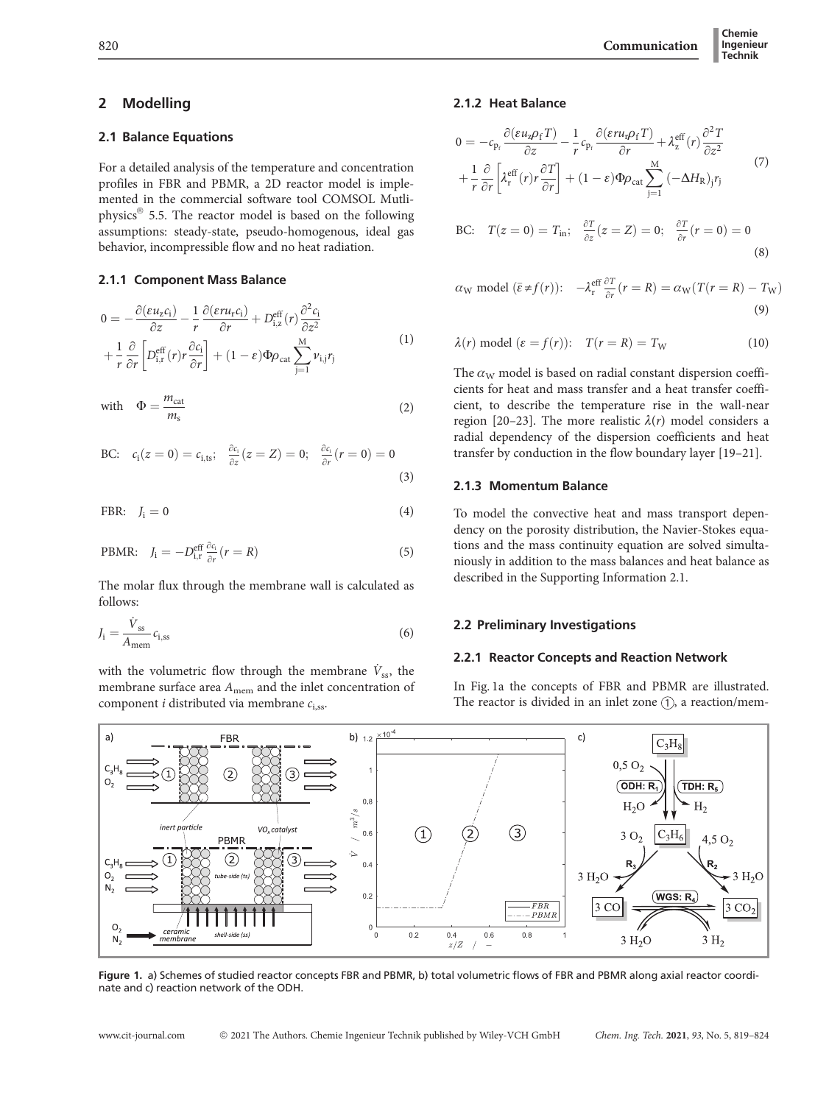(8)

# 2 Modelling

## 2.1 Balance Equations

For a detailed analysis of the temperature and concentration profiles in FBR and PBMR, a 2D reactor model is implemented in the commercial software tool COMSOL Mutliphysics® 5.5. The reactor model is based on the following assumptions: steady-state, pseudo-homogenous, ideal gas behavior, incompressible flow and no heat radiation.

## 2.1.1 Component Mass Balance

$$
0 = -\frac{\partial (\varepsilon u_z c_i)}{\partial z} - \frac{1}{r} \frac{\partial (\varepsilon r u_r c_i)}{\partial r} + D_{i,z}^{\text{eff}}(r) \frac{\partial^2 c_i}{\partial z^2} + \frac{1}{r} \frac{\partial}{\partial r} \left[ D_{i,r}^{\text{eff}}(r) r \frac{\partial c_i}{\partial r} \right] + (1 - \varepsilon) \Phi \rho_{\text{cat}} \sum_{j=1}^{M} v_{i,j} r_j
$$
(1)

with 
$$
\Phi = \frac{m_{\text{cat}}}{m_s} \tag{2}
$$

BC: 
$$
c_i(z = 0) = c_{i,ts}; \frac{\partial c_i}{\partial z}(z = Z) = 0; \frac{\partial c_i}{\partial r}(r = 0) = 0
$$
 (3)

FBR: 
$$
J_i = 0
$$
 (4)

PBMR: 
$$
J_i = -D_{i,r}^{\text{eff}} \frac{\partial c_i}{\partial r}(r = R)
$$
 (5)

The molar flux through the membrane wall is calculated as follows:

$$
J_{\rm i} = \frac{\dot{V}_{\rm ss}}{A_{\rm mem}} c_{\rm i, ss} \tag{6}
$$

with the volumetric flow through the membrane  $\dot{V}_{ss}$ , the membrane surface area  $A_{\text{mem}}$  and the inlet concentration of component *i* distributed via membrane  $c_{i,ss}$ .

## 2.1.2 Heat Balance

$$
0 = -c_{\mathbf{p}_f} \frac{\partial (\varepsilon u_{\mathbf{z}} \rho_f T)}{\partial z} - \frac{1}{r} c_{\mathbf{p}_f} \frac{\partial (\varepsilon r u_{\mathbf{r}} \rho_f T)}{\partial r} + \lambda_z^{\text{eff}}(r) \frac{\partial^2 T}{\partial z^2} + \frac{1}{r} \frac{\partial}{\partial r} \left[ \lambda_r^{\text{eff}}(r) r \frac{\partial T}{\partial r} \right] + (1 - \varepsilon) \Phi \rho_{\text{cat}} \sum_{j=1}^M (-\Delta H_R)_j r_j
$$
(7)  
BC:  $T(z = 0) = T_{\text{in}}; \frac{\partial T}{\partial z}(z = Z) = 0; \frac{\partial T}{\partial r}(r = 0) = 0$ 

$$
\alpha_{\rm W}
$$
 model  $(\bar{\varepsilon} \neq f(r))$ :  $-\lambda_{\rm r}^{\rm eff} \frac{\partial T}{\partial r}(r=R) = \alpha_{\rm W}(T(r=R) - T_{\rm W})$ \n  
\n(9)

$$
\lambda(r) \text{ model } (\varepsilon = f(r)) \colon \quad T(r = R) = T_W \tag{10}
$$

The  $\alpha_W$  model is based on radial constant dispersion coefficients for heat and mass transfer and a heat transfer coefficient, to describe the temperature rise in the wall-near region [20–23]. The more realistic  $\lambda(r)$  model considers a radial dependency of the dispersion coefficients and heat transfer by conduction in the flow boundary layer [19–21].

#### 2.1.3 Momentum Balance

To model the convective heat and mass transport dependency on the porosity distribution, the Navier-Stokes equations and the mass continuity equation are solved simultaniously in addition to the mass balances and heat balance as described in the Supporting Information 2.1.

## 2.2 Preliminary Investigations

## 2.2.1 Reactor Concepts and Reaction Network

In Fig. 1a the concepts of FBR and PBMR are illustrated. The reactor is divided in an inlet zone  $(1)$ , a reaction/mem-



Figure 1. a) Schemes of studied reactor concepts FBR and PBMR, b) total volumetric flows of FBR and PBMR along axial reactor coordinate and c) reaction network of the ODH.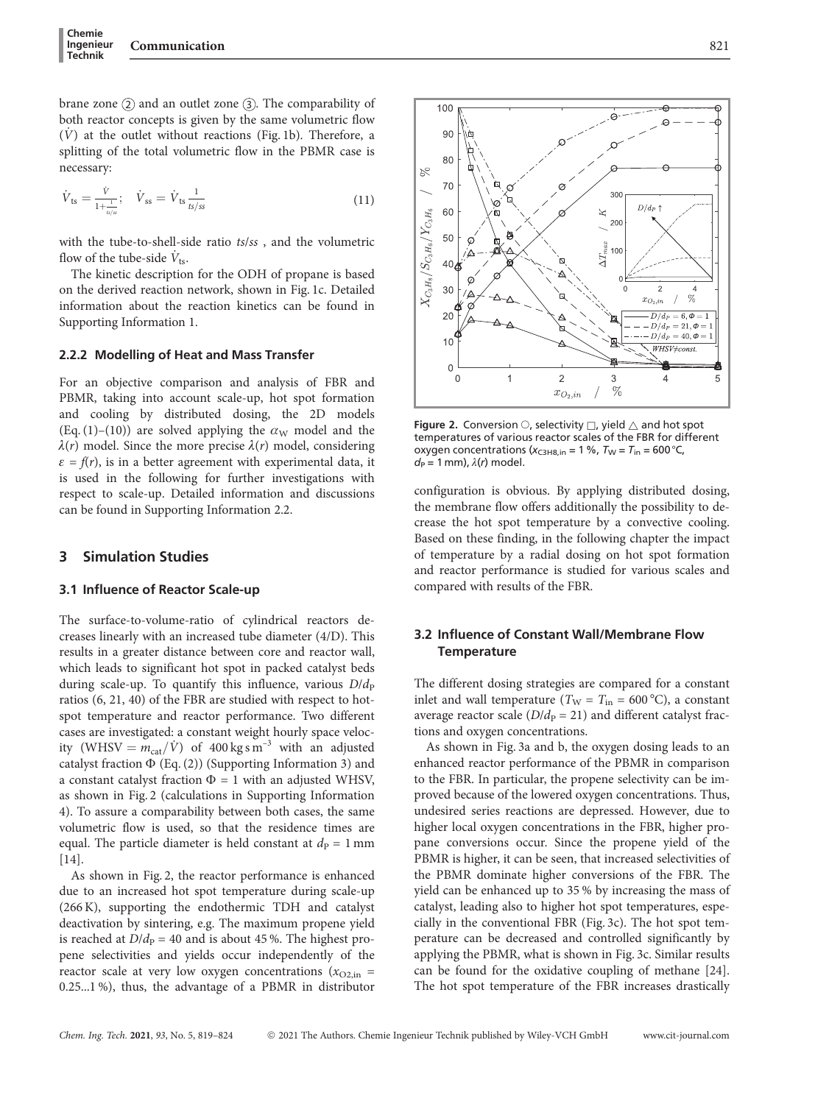$$
\dot{V}_{ts} = \frac{\dot{V}}{1 + \frac{1}{\mu/s}}; \quad \dot{V}_{ss} = \dot{V}_{ts} \frac{1}{\frac{t}{\mu/s}}
$$
(11)

with the tube-to-shell-side ratio ts/ss , and the volumetric flow of the tube-side  $\dot{V}_{ts}$ .

The kinetic description for the ODH of propane is based on the derived reaction network, shown in Fig. 1c. Detailed information about the reaction kinetics can be found in Supporting Information 1.

#### 2.2.2 Modelling of Heat and Mass Transfer

For an objective comparison and analysis of FBR and PBMR, taking into account scale-up, hot spot formation and cooling by distributed dosing, the 2D models (Eq. (1)–(10)) are solved applying the  $\alpha_W$  model and the  $\lambda(r)$  model. Since the more precise  $\lambda(r)$  model, considering  $\varepsilon = f(r)$ , is in a better agreement with experimental data, it is used in the following for further investigations with respect to scale-up. Detailed information and discussions can be found in Supporting Information 2.2.

# 3 Simulation Studies

#### 3.1 Influence of Reactor Scale-up

The surface-to-volume-ratio of cylindrical reactors decreases linearly with an increased tube diameter (4/D). This results in a greater distance between core and reactor wall, which leads to significant hot spot in packed catalyst beds during scale-up. To quantify this influence, various  $D/d<sub>p</sub>$ ratios (6, 21, 40) of the FBR are studied with respect to hotspot temperature and reactor performance. Two different cases are investigated: a constant weight hourly space velocity (WHSV =  $m_{cat}/\dot{V}$ ) of 400 kg s m<sup>-3</sup> with an adjusted catalyst fraction  $\Phi$  (Eq. (2)) (Supporting Information 3) and a constant catalyst fraction  $\Phi = 1$  with an adjusted WHSV, as shown in Fig. 2 (calculations in Supporting Information 4). To assure a comparability between both cases, the same volumetric flow is used, so that the residence times are equal. The particle diameter is held constant at  $d_P = 1$  mm [14].

As shown in Fig. 2, the reactor performance is enhanced due to an increased hot spot temperature during scale-up (266 K), supporting the endothermic TDH and catalyst deactivation by sintering, e.g. The maximum propene yield is reached at  $D/d_P = 40$  and is about 45%. The highest propene selectivities and yields occur independently of the reactor scale at very low oxygen concentrations ( $x_{O2,in}$  = 0.25...1 %), thus, the advantage of a PBMR in distributor

 $\frac{1}{2}$  $x_{O_2,in}$ Figure 2. Conversion  $\bigcirc$ , selectivity  $\Box$ , yield  $\bigtriangleup$  and hot spot temperatures of various reactor scales of the FBR for different oxygen concentrations ( $x_{C3H8,in}$  = 1 %,  $T_W = T_{in}$  = 600 °C,

 $d_P = 1$  mm),  $\lambda(r)$  model.

configuration is obvious. By applying distributed dosing, the membrane flow offers additionally the possibility to decrease the hot spot temperature by a convective cooling. Based on these finding, in the following chapter the impact of temperature by a radial dosing on hot spot formation and reactor performance is studied for various scales and compared with results of the FBR.

# 3.2 Influence of Constant Wall/Membrane Flow **Temperature**

The different dosing strategies are compared for a constant inlet and wall temperature ( $T_{\text{W}} = T_{\text{in}} = 600 \degree \text{C}$ ), a constant average reactor scale ( $D/d<sub>P</sub> = 21$ ) and different catalyst fractions and oxygen concentrations.

As shown in Fig. 3a and b, the oxygen dosing leads to an enhanced reactor performance of the PBMR in comparison to the FBR. In particular, the propene selectivity can be improved because of the lowered oxygen concentrations. Thus, undesired series reactions are depressed. However, due to higher local oxygen concentrations in the FBR, higher propane conversions occur. Since the propene yield of the PBMR is higher, it can be seen, that increased selectivities of the PBMR dominate higher conversions of the FBR. The yield can be enhanced up to 35 % by increasing the mass of catalyst, leading also to higher hot spot temperatures, especially in the conventional FBR (Fig. 3c). The hot spot temperature can be decreased and controlled significantly by applying the PBMR, what is shown in Fig. 3c. Similar results can be found for the oxidative coupling of methane [24]. The hot spot temperature of the FBR increases drastically

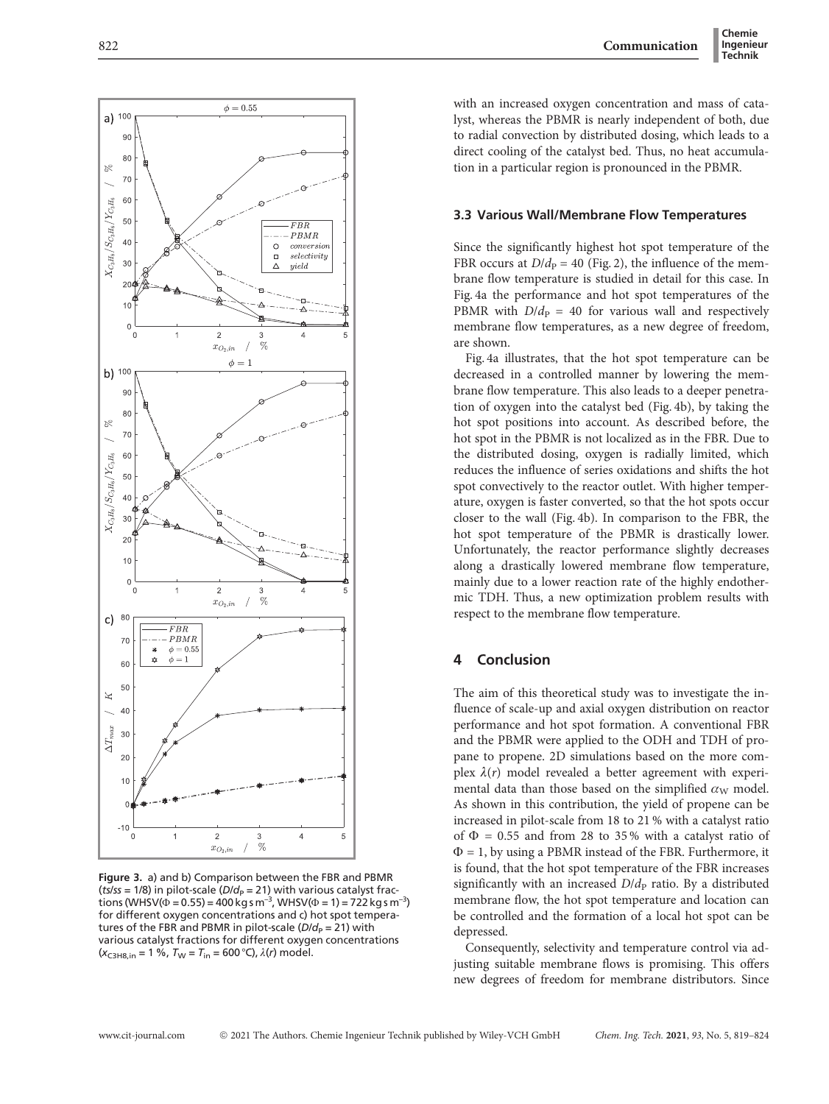$\phi = 0.55$  $a)$  100 90 80 ×  $70$  $X_{C\epsilon H\epsilon}/S_{C\epsilon H\epsilon}/Y_{C\epsilon H\epsilon}$ 60 50  $_{FBE}$ PBMR  $40$ Ċ  $conversio$  $selectivitu$  $\Box$  $30$ vield  $\mathfrak{D}$  $\Omega$  $\overline{0}$  $\overline{2}$ ă  $\%$  $x_{O_2,in}$  $\phi=1$ b)  $100$  $90^{\circ}$  $80$ ×  $70$ 60  $\rm Y_{CeE}/S_{CeHe}/Y_{CeHe}$  $50$  $40$  $3<sup>0</sup>$  $\mathcal{D}$  $10$  $\overline{0}$  $\overline{2}$  $\overline{0}$  $\overline{1}$ 3  $\frac{1}{\sqrt{2}}$  $x_{O_2}$  $c)$ 80 FBR  $\overline{7}$  $-PBMR$  $\phi = 0.55$  $\mathbf{r}$  $\phi = 1$ 60 50  $\overline{K}$  $4($ naz  $\overline{\mathcal{M}}$  $\Delta T_{\rm m}$  $\overline{2}$  $10$  $-10$  $\overline{1}$  $\overline{c}$  $\overline{4}$  $\overline{5}$ ່ດ  $\overline{3}$  $\frac{1}{2}$  $x_{O_2,i}$ 

Figure 3. a) and b) Comparison between the FBR and PBMR (*ts/ss* = 1/8) in pilot-scale (*D/d<sub>P</sub>* = 21) with various catalyst frac-<br>tions (WHSV(Φ = 0.55) = 400 kg s m<sup>–3</sup>, WHSV(Φ = 1) = 722 kg s m<sup>–3</sup>) for different oxygen concentrations and c) hot spot temperatures of the FBR and PBMR in pilot-scale ( $D/d<sub>P</sub> = 21$ ) with various catalyst fractions for different oxygen concentrations  $(x_{\text{C3H8,in}} = 1 \%, T_{\text{W}} = T_{\text{in}} = 600 \degree \text{C}, \lambda(r) \text{ model}.$ 

with an increased oxygen concentration and mass of catalyst, whereas the PBMR is nearly independent of both, due to radial convection by distributed dosing, which leads to a direct cooling of the catalyst bed. Thus, no heat accumulation in a particular region is pronounced in the PBMR.

#### 3.3 Various Wall/Membrane Flow Temperatures

Since the significantly highest hot spot temperature of the FBR occurs at  $D/d_p = 40$  (Fig. 2), the influence of the membrane flow temperature is studied in detail for this case. In Fig. 4a the performance and hot spot temperatures of the PBMR with  $D/d_p = 40$  for various wall and respectively membrane flow temperatures, as a new degree of freedom, are shown.

Fig. 4a illustrates, that the hot spot temperature can be decreased in a controlled manner by lowering the membrane flow temperature. This also leads to a deeper penetration of oxygen into the catalyst bed (Fig. 4b), by taking the hot spot positions into account. As described before, the hot spot in the PBMR is not localized as in the FBR. Due to the distributed dosing, oxygen is radially limited, which reduces the influence of series oxidations and shifts the hot spot convectively to the reactor outlet. With higher temperature, oxygen is faster converted, so that the hot spots occur closer to the wall (Fig. 4b). In comparison to the FBR, the hot spot temperature of the PBMR is drastically lower. Unfortunately, the reactor performance slightly decreases along a drastically lowered membrane flow temperature, mainly due to a lower reaction rate of the highly endothermic TDH. Thus, a new optimization problem results with respect to the membrane flow temperature.

# 4 Conclusion

The aim of this theoretical study was to investigate the influence of scale-up and axial oxygen distribution on reactor performance and hot spot formation. A conventional FBR and the PBMR were applied to the ODH and TDH of propane to propene. 2D simulations based on the more complex  $\lambda(r)$  model revealed a better agreement with experimental data than those based on the simplified  $\alpha_W$  model. As shown in this contribution, the yield of propene can be increased in pilot-scale from 18 to 21 % with a catalyst ratio of  $\Phi = 0.55$  and from 28 to 35% with a catalyst ratio of  $\Phi = 1$ , by using a PBMR instead of the FBR. Furthermore, it is found, that the hot spot temperature of the FBR increases significantly with an increased  $D/d<sub>p</sub>$  ratio. By a distributed membrane flow, the hot spot temperature and location can be controlled and the formation of a local hot spot can be depressed.

Consequently, selectivity and temperature control via adjusting suitable membrane flows is promising. This offers new degrees of freedom for membrane distributors. Since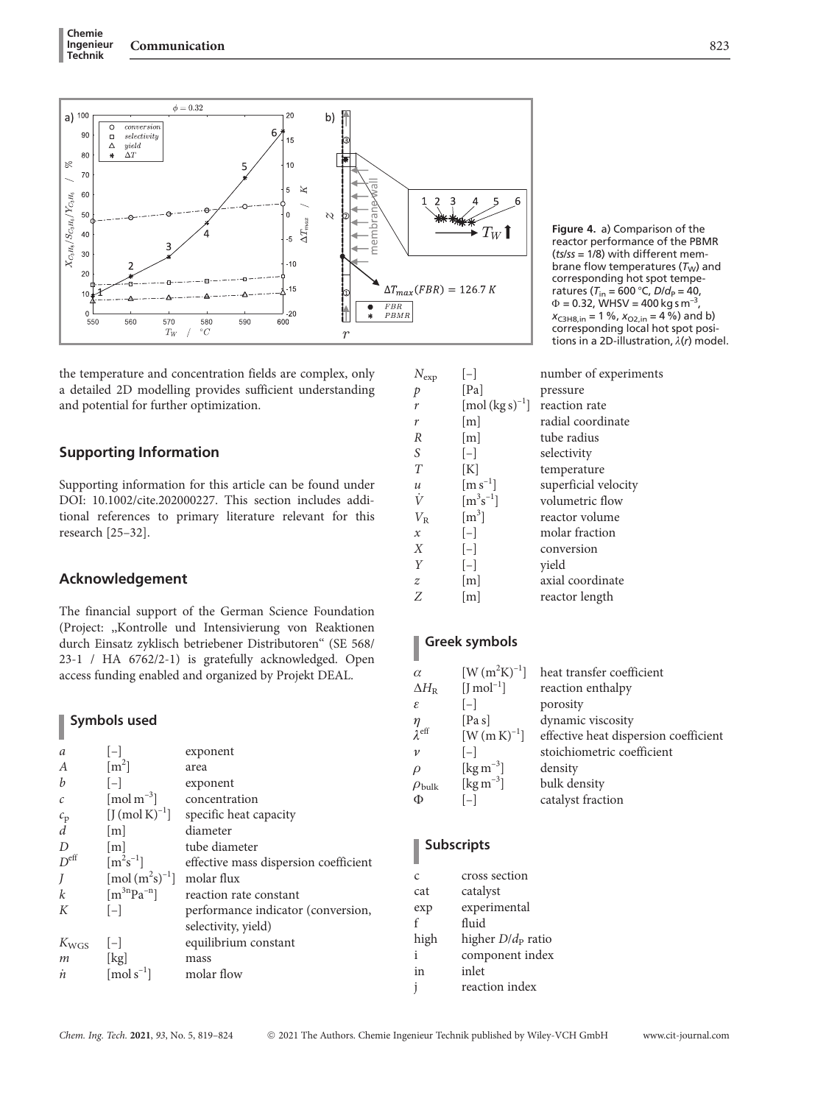

the temperature and concentration fields are complex, only a detailed 2D modelling provides sufficient understanding and potential for further optimization.

# Supporting Information

Supporting information for this article can be found under DOI: 10.1002/cite.202000227. This section includes additional references to primary literature relevant for this research [25–32].

## Acknowledgement

The financial support of the German Science Foundation (Project: ,,Kontrolle und Intensivierung von Reaktionen durch Einsatz zyklisch betriebener Distributoren'' (SE 568/ 23-1 / HA 6762/2-1) is gratefully acknowledged. Open access funding enabled and organized by Projekt DEAL.

# Symbols used

| a                     | $ - $                                                    | exponent                              |
|-----------------------|----------------------------------------------------------|---------------------------------------|
| $\boldsymbol{A}$      | $\lceil m^2 \rceil$                                      | area                                  |
| b                     | $[-]$                                                    | exponent                              |
| $\mathcal{C}$         | $\lceil \text{mol m}^{-3} \rceil$                        | concentration                         |
|                       | $[J \text{ (mol K)}^{-1}]$                               | specific heat capacity                |
| $\frac{c_{\rm p}}{d}$ | $\lfloor m \rfloor$                                      | diameter                              |
| D                     | $\lfloor m \rfloor$                                      | tube diameter                         |
| $D^{\text{eff}}$      | $\rm [m^2s^{-1}]$                                        | effective mass dispersion coefficient |
| J                     | $\lceil \text{mol} \, (\text{m}^2 \text{s})^{-1} \rceil$ | molar flux                            |
| $\boldsymbol{k}$      | $\lceil m^{3n}Pa^{-n} \rceil$                            | reaction rate constant                |
| К                     | $ - $                                                    | performance indicator (conversion,    |
|                       |                                                          | selectivity, yield)                   |
| $K_{\text{WGS}}$      | $ - $                                                    | equilibrium constant                  |
| $\,m$                 | [kg]                                                     | mass                                  |
| 'n                    | $\lceil \text{mol s}^{-1} \rceil$                        | molar flow                            |

Figure 4. a) Comparison of the reactor performance of the PBMR  $(ts/ss = 1/8)$  with different membrane flow temperatures  $(T_W)$  and corresponding hot spot temperatures ( $T_{\text{in}} = 600 \degree C$ ,  $D/d_P = 40$ ,  $\Phi$  = 0.32, WHSV = 400 kg s m<sup>-3</sup>,  $x_{C3H8,in} = 1 \%$ ,  $x_{O2,in} = 4 \%$ ) and b) corresponding local hot spot positions in a 2D-illustration,  $\lambda(r)$  model.

 $N_{\rm exp}$  [–] number of experiments<br>p [Pa] pressure p [Pa] pressure  $r$  [mol (kg s)<sup>-1</sup>] reaction rate r [m] radial coordinate  $R$  [m] tube radius<br>S  $[-]$  selectivity S [–] selectivity<br>T [K] temperatu [K] temperature<br>[m s<sup>-1</sup>] superficial ve u  $[m s^{-1}]$  superficial velocity<br>  $\dot{V}$   $[m^3 s^{-1}]$  volumetric flow  $\dot{V}$  [m<sup>3</sup>s volumetric flow  $V_{\rm R}$  [m<sup>3</sup>] reactor volume x [–] molar fraction X [-] conversion<br>Y [-] yield yield z [m] axial coordinate<br>Z [m] reactor length [m] reactor length

# Greek symbols

| $\alpha$                         | $[{\rm W\, (m^2K)^{-1}}]$ | heat transfer coefficient             |
|----------------------------------|---------------------------|---------------------------------------|
| $\Delta H_{\rm R}$               | $[J mol-1]$               | reaction enthalpy                     |
| ε                                | $[-]$                     | porosity                              |
| $\frac{\eta}{\lambda^{\rm eff}}$ | [Pa s]                    | dynamic viscosity                     |
|                                  | $[W(mK)^{-1}]$            | effective heat dispersion coefficient |
| $\mathcal V$                     | $[-]$                     | stoichiometric coefficient            |
| $\rho$                           | [ $\text{kg m}^{-3}$ ]    | density                               |
| $\rho_{\rm bulk}$                | [ $\text{kg m}^{-3}$ ]    | bulk density                          |
| Φ                                |                           | catalyst fraction                     |

# Subscripts

l

Ī

| Ċ    | cross section                         |
|------|---------------------------------------|
| cat  | catalyst                              |
| exp  | experimental                          |
| f    | fluid                                 |
| high | higher <i>D</i> /d <sub>P</sub> ratio |
| i    | component index                       |
| in   | inlet                                 |
| j    | reaction index                        |